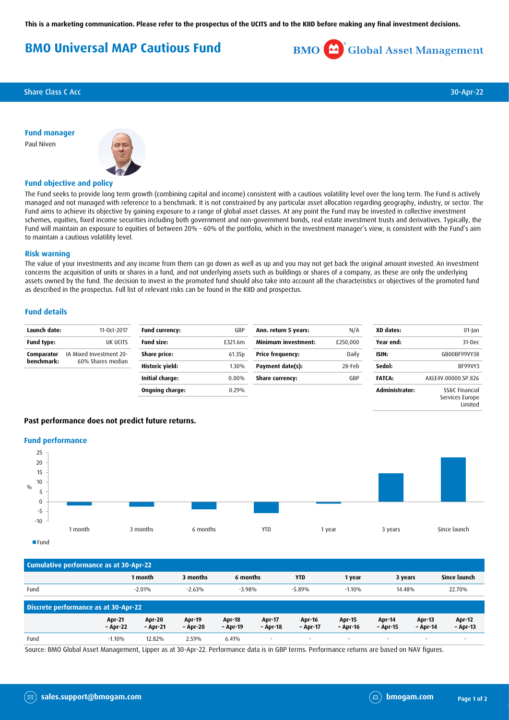**This is a marketing communication. Please refer to the prospectus of the UCITS and to the KIID before making any final investment decisions.**

# **BMO Universal MAP Cautious Fund**



**Share Class C Acc** 30-Apr-22

**Fund manager** Paul Niven



## **Fund objective and policy**

The Fund seeks to provide long term growth (combining capital and income) consistent with a cautious volatility level over the long term. The Fund is actively managed and not managed with reference to a benchmark. It is not constrained by any particular asset allocation regarding geography, industry, or sector. The Fund aims to achieve its objective by gaining exposure to a range of global asset classes. At any point the Fund may be invested in collective investment schemes, equities, fixed income securities including both government and non-government bonds, real estate investment trusts and derivatives. Typically, the Fund will maintain an exposure to equities of between 20% - 60% of the portfolio, which in the investment manager's view, is consistent with the Fund's aim to maintain a cautious volatility level.

#### **Risk warning**

The value of your investments and any income from them can go down as well as up and you may not get back the original amount invested. An investment concerns the acquisition of units or shares in a fund, and not underlying assets such as buildings or shares of a company, as these are only the underlying assets owned by the fund. The decision to invest in the promoted fund should also take into account all the characteristics or objectives of the promoted fund as described in the prospectus. Full list of relevant risks can be found in the KIID and prospectus.

#### **Fund details**

| Launch date:             | 11-0ct-2017                                  | <b>Fund currency:</b> | GBP      | Ann. return 5 years:    | N/A            | XD dates:      | 01-Jan                            |
|--------------------------|----------------------------------------------|-----------------------|----------|-------------------------|----------------|----------------|-----------------------------------|
| Fund type:               | UK UCITS                                     | <b>Fund size:</b>     | £321.6m  | Minimum investment:     | £250,000       | Year end:      | 31-Dec                            |
| Comparator<br>benchmark: | IA Mixed Investment 20-<br>60% Shares median | Share price:          | 61.35p   | <b>Price frequency:</b> | Daily<br>ISIN: |                | GB00BF99VY38                      |
|                          |                                              | Historic yield:       | 1.30%    | Payment date(s):        | 28-Feb         | Sedol:         | BF99VY3                           |
|                          |                                              | Initial charge:       | $0.00\%$ | <b>Share currency:</b>  | GBP            | <b>FATCA:</b>  | AXLE4V.00000.SP.826               |
|                          |                                              | Ongoing charge:       | 0.29%    |                         |                | Administrator: | SS&C Financial<br>Services Europe |

### **Past performance does not predict future returns.**

#### **Fund performance**



| Cumulative performance as at 30-Apr-22 |                           |                           |                           |                           |                           |                          |                           |                    |                             |                           |
|----------------------------------------|---------------------------|---------------------------|---------------------------|---------------------------|---------------------------|--------------------------|---------------------------|--------------------|-----------------------------|---------------------------|
|                                        |                           | 1 month                   | 3 months                  | 6 months                  |                           | <b>YTD</b>               | 1 year                    | 3 years            |                             | Since launch              |
| Fund                                   |                           | $-2.01%$                  | $-2.63%$                  | $-3.98%$                  |                           | $-5.89%$                 | $-1.10%$                  | 14.48%             |                             | 22.70%                    |
| Discrete performance as at 30-Apr-22   |                           |                           |                           |                           |                           |                          |                           |                    |                             |                           |
|                                        | <b>Apr-21</b><br>- Apr-22 | <b>Apr-20</b><br>- Apr-21 | <b>Apr-19</b><br>- Apr-20 | <b>Apr-18</b><br>- Apr-19 | <b>Apr-17</b><br>- Apr-18 | Apr-16<br>- Apr-17       | <b>Apr-15</b><br>- Apr-16 | Apr-14<br>– Apr-15 | <b>Apr-13</b><br>$-$ Apr-14 | <b>Apr-12</b><br>- Apr-13 |
| Fund                                   | $-1.10%$                  | 12.82%                    | 2.59%                     | 6.41%                     | $\overline{\phantom{a}}$  | $\overline{\phantom{a}}$ | $\overline{\phantom{a}}$  |                    | $\overline{\phantom{a}}$    | $\overline{\phantom{a}}$  |

Source: BMO Global Asset Management, Lipper as at 30-Apr-22. Performance data is in GBP terms. Performance returns are based on NAV figures.

Limited